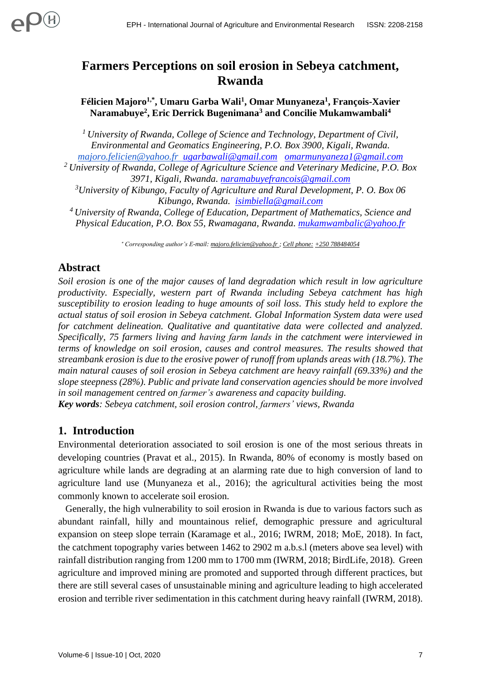# **Farmers Perceptions on soil erosion in Sebeya catchment, Rwanda**

**Félicien Majoro1,\* , Umaru Garba Wali<sup>1</sup> , Omar Munyaneza<sup>1</sup> , François-Xavier Naramabuye<sup>2</sup> , Eric Derrick Bugenimana<sup>3</sup> and Concilie Mukamwambali<sup>4</sup>**

*<sup>1</sup>University of Rwanda, College of Science and Technology, Department of Civil, Environmental and Geomatics Engineering, P.O. Box 3900, Kigali, Rwanda.* 

*[majoro.felicien@yahoo.fr](mailto:majoro.felicien@yahoo.fr) [ugarbawali@gmail.com](mailto:ugarbawali@gmail.com) [omarmunyaneza1@gmail.com](mailto:omarmunyaneza1@gmail.com)*

*<sup>2</sup>University of Rwanda, College of Agriculture Science and Veterinary Medicine, P.O. Box 3971, Kigali, Rwanda. [naramabuyefrancois@gmail.com](mailto:naramabuyefrancois@gmail.com)*

*<sup>3</sup>University of Kibungo, Faculty of Agriculture and Rural Development, P. O. Box 06 Kibungo, Rwanda. [isimbiella@gmail.com](mailto:isimbiella@gmail.com)*

*<sup>4</sup>University of Rwanda, College of Education, Department of Mathematics, Science and Physical Education, P.O. Box 55, Rwamagana, Rwanda. [mukamwambalic@yahoo.fr](mailto:mukamwambalic@yahoo.fr)*

*Corresponding author's E-mail: [majoro.felicien@yahoo.fr ;](mailto:majoro.felicien@yahoo.fr) Cell phone: +250 788484054*

### **Abstract**

*Soil erosion is one of the major causes of land degradation which result in low agriculture productivity. Especially, western part of Rwanda including Sebeya catchment has high susceptibility to erosion leading to huge amounts of soil loss. This study held to explore the actual status of soil erosion in Sebeya catchment. Global Information System data were used for catchment delineation. Qualitative and quantitative data were collected and analyzed. Specifically, 75 farmers living and having farm lands in the catchment were interviewed in terms of knowledge on soil erosion, causes and control measures. The results showed that streambank erosion is due to the erosive power of runoff from uplands areas with (18.7%). The main natural causes of soil erosion in Sebeya catchment are heavy rainfall (69.33%) and the slope steepness (28%). Public and private land conservation agencies should be more involved in soil management centred on farmer's awareness and capacity building.* 

*Key words: Sebeya catchment, soil erosion control, farmers' views, Rwanda*

### **1. Introduction**

Environmental deterioration associated to soil erosion is one of the most serious threats in developing countries (Pravat et al., 2015). In Rwanda, 80% of economy is mostly based on agriculture while lands are degrading at an alarming rate due to high conversion of land to agriculture land use (Munyaneza et al., 2016); the agricultural activities being the most commonly known to accelerate soil erosion.

 Generally, the high vulnerability to soil erosion in Rwanda is due to various factors such as abundant rainfall, hilly and mountainous relief, demographic pressure and agricultural expansion on steep slope terrain (Karamage et al., 2016; IWRM, 2018; MoE, 2018). In fact, the catchment topography varies between 1462 to 2902 m a.b.s.l (meters above sea level) with rainfall distribution ranging from 1200 mm to 1700 mm (IWRM, 2018; BirdLife, 2018). Green agriculture and improved mining are promoted and supported through different practices, but there are still several cases of unsustainable mining and agriculture leading to high accelerated erosion and terrible river sedimentation in this catchment during heavy rainfall (IWRM, 2018).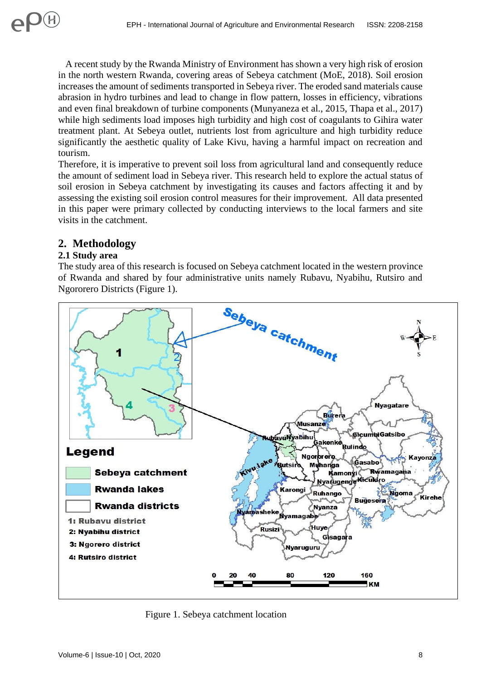A recent study by the Rwanda Ministry of Environment has shown a very high risk of erosion in the north western Rwanda, covering areas of Sebeya catchment (MoE, 2018). Soil erosion increases the amount of sediments transported in Sebeya river. The eroded sand materials cause abrasion in hydro turbines and lead to change in flow pattern, losses in efficiency, vibrations and even final breakdown of turbine components (Munyaneza et al., 2015, Thapa et al., 2017) while high sediments load imposes high turbidity and high cost of coagulants to Gihira water treatment plant. At Sebeya outlet, nutrients lost from agriculture and high turbidity reduce significantly the aesthetic quality of Lake Kivu, having a harmful impact on recreation and tourism.

Therefore, it is imperative to prevent soil loss from agricultural land and consequently reduce the amount of sediment load in Sebeya river. This research held to explore the actual status of soil erosion in Sebeya catchment by investigating its causes and factors affecting it and by assessing the existing soil erosion control measures for their improvement. All data presented in this paper were primary collected by conducting interviews to the local farmers and site visits in the catchment.

# **2. Methodology**

### **2.1 Study area**

The study area of this research is focused on Sebeya catchment located in the western province of Rwanda and shared by four administrative units namely Rubavu, Nyabihu, Rutsiro and Ngororero Districts (Figure 1).



Figure 1. Sebeya catchment location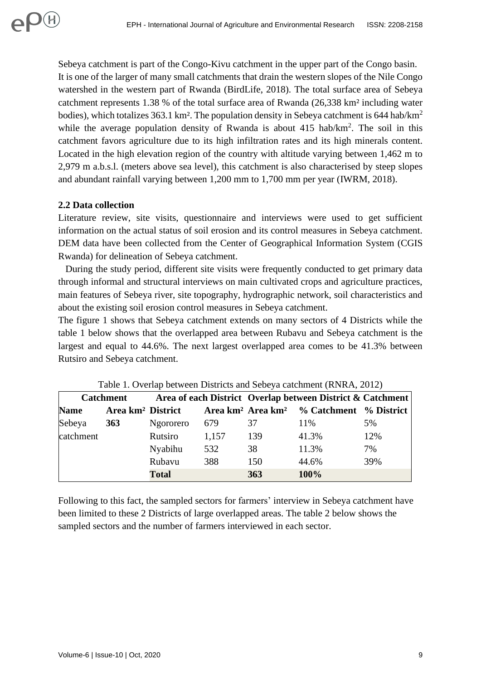Sebeya catchment is part of the Congo-Kivu catchment in the upper part of the Congo basin. It is one of the larger of many small catchments that drain the western slopes of the Nile Congo watershed in the western part of Rwanda (BirdLife, 2018). The total surface area of Sebeya catchment represents 1.38 % of the total surface area of Rwanda (26,338 km² including water bodies), which totalizes 363.1 km<sup>2</sup>. The population density in Sebeya catchment is 644 hab/km<sup>2</sup> while the average population density of Rwanda is about  $415$  hab/ $km^2$ . The soil in this catchment favors agriculture due to its high infiltration rates and its high minerals content. Located in the high elevation region of the country with altitude varying between 1,462 m to 2,979 m a.b.s.l. (meters above sea level), this catchment is also characterised by steep slopes and abundant rainfall varying between 1,200 mm to 1,700 mm per year (IWRM, 2018).

#### **2.2 Data collection**

 $\mathsf{P}(\theta)$ 

Literature review, site visits, questionnaire and interviews were used to get sufficient information on the actual status of soil erosion and its control measures in Sebeya catchment. DEM data have been collected from the Center of Geographical Information System (CGIS Rwanda) for delineation of Sebeya catchment.

 During the study period, different site visits were frequently conducted to get primary data through informal and structural interviews on main cultivated crops and agriculture practices, main features of Sebeya river, site topography, hydrographic network, soil characteristics and about the existing soil erosion control measures in Sebeya catchment.

The figure 1 shows that Sebeya catchment extends on many sectors of 4 Districts while the table 1 below shows that the overlapped area between Rubavu and Sebeya catchment is the largest and equal to 44.6%. The next largest overlapped area comes to be 41.3% between Rutsiro and Sebeya catchment.

| <b>Catchment</b> |                               |              |       | Area of each District Overlap between District & Catchment |                                                                  |     |
|------------------|-------------------------------|--------------|-------|------------------------------------------------------------|------------------------------------------------------------------|-----|
| <b>Name</b>      | Area km <sup>2</sup> District |              |       |                                                            | Area km <sup>2</sup> Area km <sup>2</sup> % Catchment % District |     |
| Sebeya           | <b>363</b>                    | Ngororero    | 679   | 37                                                         | 11\%                                                             | 5%  |
| catchment        |                               | Rutsiro      | 1,157 | 139                                                        | 41.3%                                                            | 12% |
|                  |                               | Nyabihu      | 532   | 38                                                         | 11.3%                                                            | 7%  |
|                  |                               | Rubavu       | 388   | 150                                                        | 44.6%                                                            | 39% |
|                  |                               | <b>Total</b> |       | 363                                                        | 100%                                                             |     |

|  |  | Table 1. Overlap between Districts and Sebeya catchment (RNRA, 2012) |  |  |
|--|--|----------------------------------------------------------------------|--|--|
|--|--|----------------------------------------------------------------------|--|--|

Following to this fact, the sampled sectors for farmers' interview in Sebeya catchment have been limited to these 2 Districts of large overlapped areas. The table 2 below shows the sampled sectors and the number of farmers interviewed in each sector.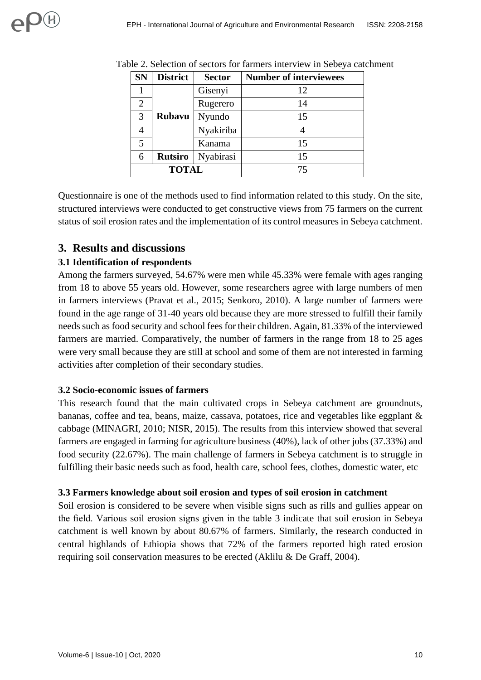| <b>SN</b>      | <b>District</b><br><b>Sector</b> |           | <b>Number of interviewees</b> |
|----------------|----------------------------------|-----------|-------------------------------|
|                |                                  | Gisenyi   | 12                            |
| $\overline{2}$ |                                  | Rugerero  | 14                            |
| 3              | <b>Rubavu</b>                    | Nyundo    | 15                            |
|                |                                  | Nyakiriba |                               |
| 5              |                                  | Kanama    | 15                            |
| 6              | <b>Rutsiro</b>                   | Nyabirasi | 15                            |
|                | <b>TOTAL</b>                     |           | 75                            |

Table 2. Selection of sectors for farmers interview in Sebeya catchment

Questionnaire is one of the methods used to find information related to this study. On the site, structured interviews were conducted to get constructive views from 75 farmers on the current status of soil erosion rates and the implementation of its control measures in Sebeya catchment.

# **3. Results and discussions**

### **3.1 Identification of respondents**

Among the farmers surveyed, 54.67% were men while 45.33% were female with ages ranging from 18 to above 55 years old. However, some researchers agree with large numbers of men in farmers interviews (Pravat et al., 2015; Senkoro, 2010). A large number of farmers were found in the age range of 31-40 years old because they are more stressed to fulfill their family needs such as food security and school fees for their children. Again, 81.33% of the interviewed farmers are married. Comparatively, the number of farmers in the range from 18 to 25 ages were very small because they are still at school and some of them are not interested in farming activities after completion of their secondary studies.

#### **3.2 Socio-economic issues of farmers**

This research found that the main cultivated crops in Sebeya catchment are groundnuts, bananas, coffee and tea, beans, maize, cassava, potatoes, rice and vegetables like eggplant & cabbage (MINAGRI, 2010; NISR, 2015). The results from this interview showed that several farmers are engaged in farming for agriculture business (40%), lack of other jobs (37.33%) and food security (22.67%). The main challenge of farmers in Sebeya catchment is to struggle in fulfilling their basic needs such as food, health care, school fees, clothes, domestic water, etc

#### **3.3 Farmers knowledge about soil erosion and types of soil erosion in catchment**

Soil erosion is considered to be severe when visible signs such as rills and gullies appear on the field. Various soil erosion signs given in the table 3 indicate that soil erosion in Sebeya catchment is well known by about 80.67% of farmers. Similarly, the research conducted in central highlands of Ethiopia shows that 72% of the farmers reported high rated erosion requiring soil conservation measures to be erected (Aklilu & De Graff, 2004).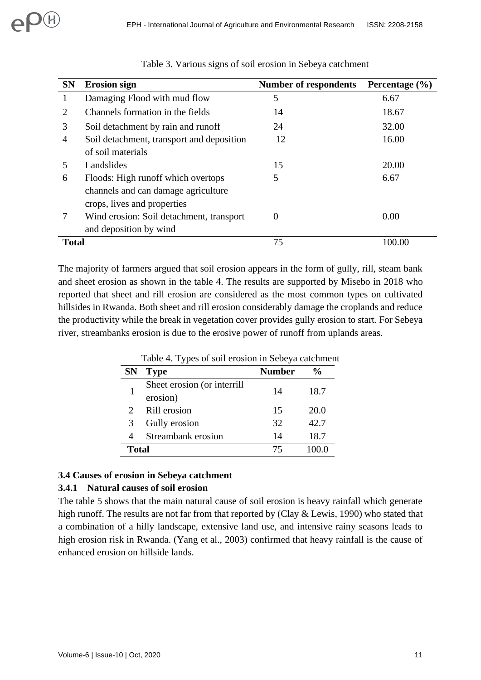| <b>SN</b>    | <b>Erosion sign</b>                       | <b>Number of respondents</b> | Percentage $(\% )$ |
|--------------|-------------------------------------------|------------------------------|--------------------|
|              | Damaging Flood with mud flow              | 5                            | 6.67               |
| 2            | Channels formation in the fields          | 14                           | 18.67              |
| 3            | Soil detachment by rain and runoff        | 24                           | 32.00              |
| 4            | Soil detachment, transport and deposition | 12                           | 16.00              |
|              | of soil materials                         |                              |                    |
| 5            | Landslides                                | 15                           | 20.00              |
| 6            | Floods: High runoff which overtops        | 5                            | 6.67               |
|              | channels and can damage agriculture       |                              |                    |
|              | crops, lives and properties               |                              |                    |
| 7            | Wind erosion: Soil detachment, transport  | $\Omega$                     | 0.00               |
|              | and deposition by wind                    |                              |                    |
| <b>Total</b> |                                           | 75                           | 100.00             |

|  |  |  |  |  |  |  |  | Table 3. Various signs of soil erosion in Sebeya catchment |
|--|--|--|--|--|--|--|--|------------------------------------------------------------|
|--|--|--|--|--|--|--|--|------------------------------------------------------------|

The majority of farmers argued that soil erosion appears in the form of gully, rill, steam bank and sheet erosion as shown in the table 4. The results are supported by Misebo in 2018 who reported that sheet and rill erosion are considered as the most common types on cultivated hillsides in Rwanda. Both sheet and rill erosion considerably damage the croplands and reduce the productivity while the break in vegetation cover provides gully erosion to start. For Sebeya river, streambanks erosion is due to the erosive power of runoff from uplands areas.

|              | Table 4. Types of son crosion in Scocya calculatelli |               |               |  |  |  |  |
|--------------|------------------------------------------------------|---------------|---------------|--|--|--|--|
| <b>SN</b>    | <b>Type</b>                                          | <b>Number</b> | $\frac{1}{2}$ |  |  |  |  |
|              | Sheet erosion (or interrill<br>erosion)              | 14            | 18.7          |  |  |  |  |
|              | Rill erosion                                         | 15            | 20.0          |  |  |  |  |
| 3            | Gully erosion                                        | 32            | 42.7          |  |  |  |  |
| 4            | Streambank erosion                                   | 14            | 18.7          |  |  |  |  |
| <b>Total</b> |                                                      | 75            | 100.0         |  |  |  |  |

Table 4. Types of soil erosion in Sebeya catchment

#### **3.4 Causes of erosion in Sebeya catchment**

#### **3.4.1 Natural causes of soil erosion**

The table 5 shows that the main natural cause of soil erosion is heavy rainfall which generate high runoff. The results are not far from that reported by (Clay & Lewis, 1990) who stated that a combination of a hilly landscape, extensive land use, and intensive rainy seasons leads to high erosion risk in Rwanda. (Yang et al., 2003) confirmed that heavy rainfall is the cause of enhanced erosion on hillside lands.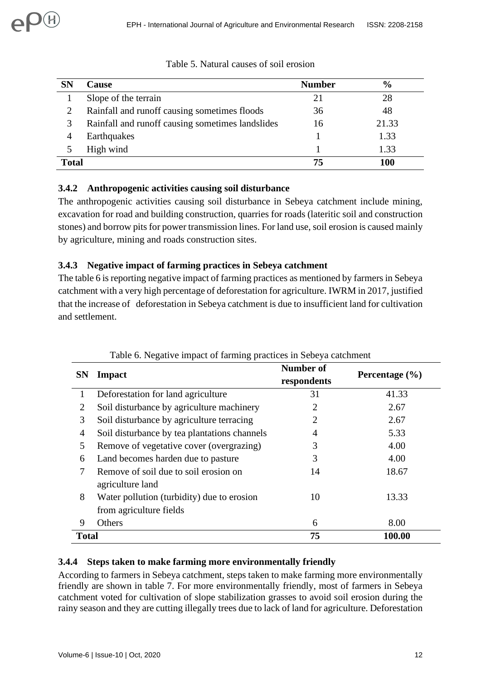| <b>SN</b> | <b>Cause</b>                                     | <b>Number</b> | $\frac{6}{9}$ |
|-----------|--------------------------------------------------|---------------|---------------|
|           | Slope of the terrain                             | 21            | 28            |
|           | Rainfall and runoff causing sometimes floods     | 36            | 48            |
| 3         | Rainfall and runoff causing sometimes landslides | 16            | 21.33         |
|           | Earthquakes                                      |               | 1.33          |
|           | High wind                                        |               | 1.33          |
| Total     |                                                  |               |               |

|  | Table 5. Natural causes of soil erosion |  |  |
|--|-----------------------------------------|--|--|
|  |                                         |  |  |

### **3.4.2 Anthropogenic activities causing soil disturbance**

The anthropogenic activities causing soil disturbance in Sebeya catchment include mining, excavation for road and building construction, quarries for roads (lateritic soil and construction stones) and borrow pits for power transmission lines. For land use, soil erosion is caused mainly by agriculture, mining and roads construction sites.

## **3.4.3 Negative impact of farming practices in Sebeya catchment**

The table 6 is reporting negative impact of farming practices as mentioned by farmers in Sebeya catchment with a very high percentage of deforestation for agriculture. IWRM in 2017, justified that the increase of deforestation in Sebeya catchment is due to insufficient land for cultivation and settlement.

| <b>SN</b>    | <b>Impact</b>                                                         | <b>Number of</b><br>respondents | Percentage $(\% )$ |
|--------------|-----------------------------------------------------------------------|---------------------------------|--------------------|
| 1            | Deforestation for land agriculture                                    | 31                              | 41.33              |
| 2            | Soil disturbance by agriculture machinery                             | 2                               | 2.67               |
| 3            | Soil disturbance by agriculture terracing                             | 2                               | 2.67               |
| 4            | Soil disturbance by tea plantations channels                          | 4                               | 5.33               |
| 5            | Remove of vegetative cover (overgrazing)                              | 3                               | 4.00               |
| 6            | Land becomes harden due to pasture                                    | 3                               | 4.00               |
| 7            | Remove of soil due to soil erosion on<br>agriculture land             | 14                              | 18.67              |
| 8            | Water pollution (turbidity) due to erosion<br>from agriculture fields | 10                              | 13.33              |
| 9            | Others                                                                | 6                               | 8.00               |
| <b>Total</b> |                                                                       | 75                              | 100.00             |

## Table 6. Negative impact of farming practices in Sebeya catchment

### **3.4.4 Steps taken to make farming more environmentally friendly**

According to farmers in Sebeya catchment, steps taken to make farming more environmentally friendly are shown in table 7. For more environmentally friendly, most of farmers in Sebeya catchment voted for cultivation of slope stabilization grasses to avoid soil erosion during the rainy season and they are cutting illegally trees due to lack of land for agriculture. Deforestation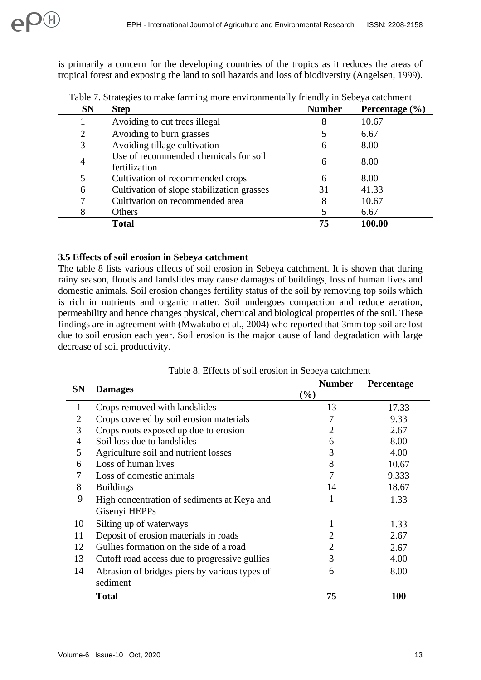is primarily a concern for the developing countries of the tropics as it reduces the areas of tropical forest and exposing the land to soil hazards and loss of biodiversity (Angelsen, 1999).

| <b>SN</b>      | <b>Step</b>                                            | <b>Number</b> | Percentage $(\% )$ |
|----------------|--------------------------------------------------------|---------------|--------------------|
|                | Avoiding to cut trees illegal                          | 8             | 10.67              |
| $\overline{2}$ | Avoiding to burn grasses                               |               | 6.67               |
| 3              | Avoiding tillage cultivation                           | 6             | 8.00               |
| $\overline{4}$ | Use of recommended chemicals for soil<br>fertilization | 6             | 8.00               |
| 5              | Cultivation of recommended crops                       | 6             | 8.00               |
| 6              | Cultivation of slope stabilization grasses             | 31            | 41.33              |
| 7              | Cultivation on recommended area                        | 8             | 10.67              |
| 8              | Others                                                 |               | 6.67               |
|                | <b>Total</b>                                           | 75            | 100.00             |

Table 7. Strategies to make farming more environmentally friendly in Sebeya catchment

#### **3.5 Effects of soil erosion in Sebeya catchment**

The table 8 lists various effects of soil erosion in Sebeya catchment. It is shown that during rainy season, floods and landslides may cause damages of buildings, loss of human lives and domestic animals. Soil erosion changes fertility status of the soil by removing top soils which is rich in nutrients and organic matter. Soil undergoes compaction and reduce aeration, permeability and hence changes physical, chemical and biological properties of the soil. These findings are in agreement with (Mwakubo et al., 2004) who reported that 3mm top soil are lost due to soil erosion each year. Soil erosion is the major cause of land degradation with large decrease of soil productivity.

| <b>SN</b> |                                               | <b>Number</b> | Percentage |
|-----------|-----------------------------------------------|---------------|------------|
|           | <b>Damages</b>                                | $(\%)$        |            |
| 1         | Crops removed with landslides                 | 13            | 17.33      |
| 2         | Crops covered by soil erosion materials       |               | 9.33       |
| 3         | Crops roots exposed up due to erosion         | 2             | 2.67       |
| 4         | Soil loss due to landslides                   | 6             | 8.00       |
| 5         | Agriculture soil and nutrient losses          | 3             | 4.00       |
| 6         | Loss of human lives                           | 8             | 10.67      |
|           | Loss of domestic animals                      | 7             | 9.333      |
| 8         | <b>Buildings</b>                              | 14            | 18.67      |
| 9         | High concentration of sediments at Keya and   | 1             | 1.33       |
|           | Gisenyi HEPPs                                 |               |            |
| 10        | Silting up of waterways                       | 1             | 1.33       |
| 11        | Deposit of erosion materials in roads         | 2             | 2.67       |
| 12        | Gullies formation on the side of a road       | 2             | 2.67       |
| 13        | Cutoff road access due to progressive gullies | 3             | 4.00       |
| 14        | Abrasion of bridges piers by various types of | 6             | 8.00       |
|           | sediment                                      |               |            |
|           | <b>Total</b>                                  | 75            | <b>100</b> |

Table 8. Effects of soil erosion in Sebeya catchment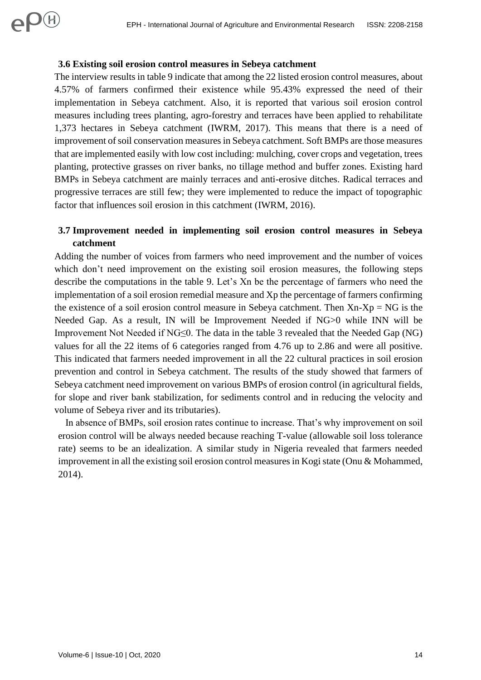#### **3.6 Existing soil erosion control measures in Sebeya catchment**

OH

The interview results in table 9 indicate that among the 22 listed erosion control measures, about 4.57% of farmers confirmed their existence while 95.43% expressed the need of their implementation in Sebeya catchment. Also, it is reported that various soil erosion control measures including trees planting, agro-forestry and terraces have been applied to rehabilitate 1,373 hectares in Sebeya catchment (IWRM, 2017). This means that there is a need of improvement of soil conservation measures in Sebeya catchment. Soft BMPs are those measures that are implemented easily with low cost including: mulching, cover crops and vegetation, trees planting, protective grasses on river banks, no tillage method and buffer zones. Existing hard BMPs in Sebeya catchment are mainly terraces and anti-erosive ditches. Radical terraces and progressive terraces are still few; they were implemented to reduce the impact of topographic factor that influences soil erosion in this catchment (IWRM, 2016).

### **3.7 Improvement needed in implementing soil erosion control measures in Sebeya catchment**

Adding the number of voices from farmers who need improvement and the number of voices which don't need improvement on the existing soil erosion measures, the following steps describe the computations in the table 9. Let's Xn be the percentage of farmers who need the implementation of a soil erosion remedial measure and Xp the percentage of farmers confirming the existence of a soil erosion control measure in Sebeya catchment. Then  $X_n - X_p = NG$  is the Needed Gap. As a result, IN will be Improvement Needed if NG>0 while INN will be Improvement Not Needed if NG≤0. The data in the table 3 revealed that the Needed Gap (NG) values for all the 22 items of 6 categories ranged from 4.76 up to 2.86 and were all positive. This indicated that farmers needed improvement in all the 22 cultural practices in soil erosion prevention and control in Sebeya catchment. The results of the study showed that farmers of Sebeya catchment need improvement on various BMPs of erosion control (in agricultural fields, for slope and river bank stabilization, for sediments control and in reducing the velocity and volume of Sebeya river and its tributaries).

 In absence of BMPs, soil erosion rates continue to increase. That's why improvement on soil erosion control will be always needed because reaching T-value (allowable soil loss tolerance rate) seems to be an idealization. A similar study in Nigeria revealed that farmers needed improvement in all the existing soil erosion control measures in Kogi state (Onu & Mohammed, 2014).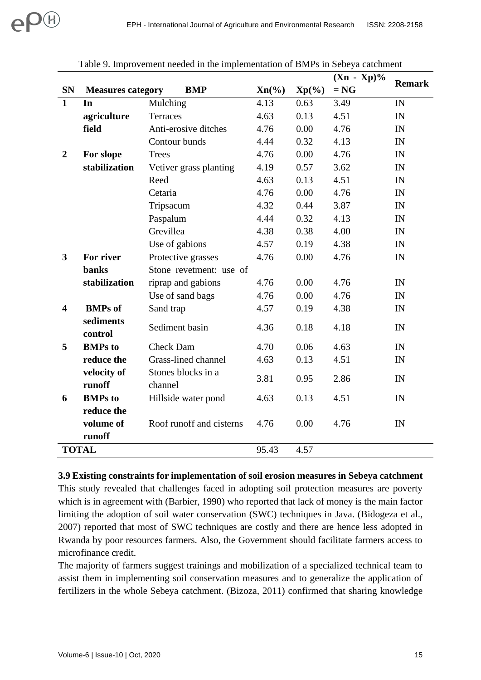|                |                          |                               |          |          | $(Xn - Xp)\%$ | <b>Remark</b> |
|----------------|--------------------------|-------------------------------|----------|----------|---------------|---------------|
| <b>SN</b>      | <b>Measures category</b> | <b>BMP</b>                    | $Xn(\%)$ | $Xp(\%)$ | $= NG$        |               |
| $\mathbf{1}$   | In                       | Mulching                      | 4.13     | 0.63     | 3.49          | IN            |
|                | agriculture              | Terraces                      | 4.63     | 0.13     | 4.51          | IN            |
|                | field                    | Anti-erosive ditches          | 4.76     | 0.00     | 4.76          | IN            |
|                |                          | Contour bunds                 | 4.44     | 0.32     | 4.13          | IN            |
| $\overline{2}$ | For slope                | <b>Trees</b>                  | 4.76     | 0.00     | 4.76          | IN            |
|                | stabilization            | Vetiver grass planting        | 4.19     | 0.57     | 3.62          | IN            |
|                |                          | Reed                          | 4.63     | 0.13     | 4.51          | IN            |
|                |                          | Cetaria                       | 4.76     | 0.00     | 4.76          | IN            |
|                |                          | Tripsacum                     | 4.32     | 0.44     | 3.87          | IN            |
|                |                          | Paspalum                      | 4.44     | 0.32     | 4.13          | IN            |
|                |                          | Grevillea                     | 4.38     | 0.38     | 4.00          | IN            |
|                |                          | Use of gabions                | 4.57     | 0.19     | 4.38          | IN            |
| 3              | For river                | Protective grasses            | 4.76     | 0.00     | 4.76          | IN            |
|                | <b>banks</b>             | Stone revetment: use of       |          |          |               |               |
|                | stabilization            | riprap and gabions            | 4.76     | 0.00     | 4.76          | IN            |
|                |                          | Use of sand bags              | 4.76     | 0.00     | 4.76          | IN            |
| 4              | <b>BMPs</b> of           | Sand trap                     | 4.57     | 0.19     | 4.38          | IN            |
|                | sediments<br>control     | Sediment basin                | 4.36     | 0.18     | 4.18          | IN            |
| 5              | <b>BMPs</b> to           | <b>Check Dam</b>              | 4.70     | 0.06     | 4.63          | IN            |
|                | reduce the               | Grass-lined channel           | 4.63     | 0.13     | 4.51          | IN            |
|                | velocity of<br>runoff    | Stones blocks in a<br>channel | 3.81     | 0.95     | 2.86          | IN            |
| 6              | <b>BMPs</b> to           | Hillside water pond           | 4.63     | 0.13     | 4.51          | IN            |
|                | reduce the               |                               |          |          |               |               |
|                | volume of                | Roof runoff and cisterns      | 4.76     | 0.00     | 4.76          | IN            |
|                | runoff                   |                               |          |          |               |               |
| <b>TOTAL</b>   |                          |                               | 95.43    | 4.57     |               |               |

Table 9. Improvement needed in the implementation of BMPs in Sebeya catchment

#### **3.9 Existing constraints for implementation of soil erosion measures in Sebeya catchment**

This study revealed that challenges faced in adopting soil protection measures are poverty which is in agreement with (Barbier, 1990) who reported that lack of money is the main factor limiting the adoption of soil water conservation (SWC) techniques in Java. (Bidogeza et al., 2007) reported that most of SWC techniques are costly and there are hence less adopted in Rwanda by poor resources farmers. Also, the Government should facilitate farmers access to microfinance credit.

The majority of farmers suggest trainings and mobilization of a specialized technical team to assist them in implementing soil conservation measures and to generalize the application of fertilizers in the whole Sebeya catchment. (Bizoza, 2011) confirmed that sharing knowledge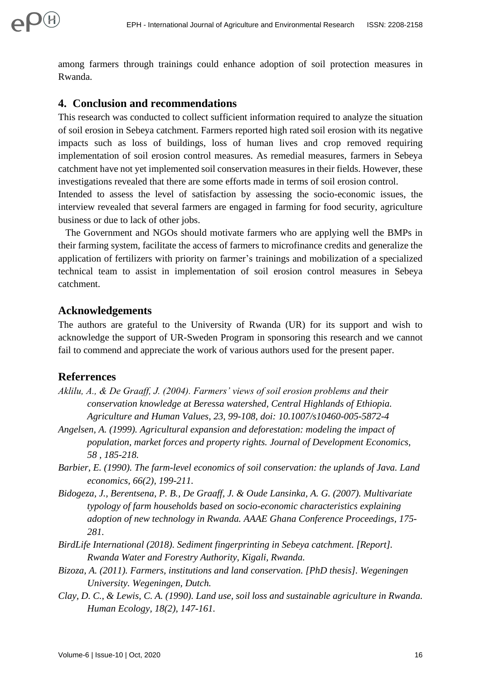among farmers through trainings could enhance adoption of soil protection measures in Rwanda.

# **4. Conclusion and recommendations**

This research was conducted to collect sufficient information required to analyze the situation of soil erosion in Sebeya catchment. Farmers reported high rated soil erosion with its negative impacts such as loss of buildings, loss of human lives and crop removed requiring implementation of soil erosion control measures. As remedial measures, farmers in Sebeya catchment have not yet implemented soil conservation measures in their fields. However, these investigations revealed that there are some efforts made in terms of soil erosion control.

Intended to assess the level of satisfaction by assessing the socio-economic issues, the interview revealed that several farmers are engaged in farming for food security, agriculture business or due to lack of other jobs.

 The Government and NGOs should motivate farmers who are applying well the BMPs in their farming system, facilitate the access of farmers to microfinance credits and generalize the application of fertilizers with priority on farmer's trainings and mobilization of a specialized technical team to assist in implementation of soil erosion control measures in Sebeya catchment.

# **Acknowledgements**

The authors are grateful to the University of Rwanda (UR) for its support and wish to acknowledge the support of UR-Sweden Program in sponsoring this research and we cannot fail to commend and appreciate the work of various authors used for the present paper.

# **Referrences**

- *Aklilu, A., & De Graaff, J. (2004). Farmers' views of soil erosion problems and their conservation knowledge at Beressa watershed, Central Highlands of Ethiopia. Agriculture and Human Values, 23, 99-108, doi: 10.1007/s10460-005-5872-4*
- *Angelsen, A. (1999). Agricultural expansion and deforestation: modeling the impact of population, market forces and property rights. Journal of Development Economics, 58 , 185-218.*
- *Barbier, E. (1990). The farm-level economics of soil conservation: the uplands of Java. Land economics, 66(2), 199-211.*
- *Bidogeza, J., Berentsena, P. B., De Graaff, J. & Oude Lansinka, A. G. (2007). Multivariate typology of farm households based on socio-economic characteristics explaining adoption of new technology in Rwanda. AAAE Ghana Conference Proceedings, 175- 281.*
- *BirdLife International (2018). Sediment fingerprinting in Sebeya catchment. [Report]. Rwanda Water and Forestry Authority, Kigali, Rwanda.*
- *Bizoza, A. (2011). Farmers, institutions and land conservation. [PhD thesis]. Wegeningen University. Wegeningen, Dutch.*
- *Clay, D. C., & Lewis, C. A. (1990). Land use, soil loss and sustainable agriculture in Rwanda. Human Ecology, 18(2), 147-161.*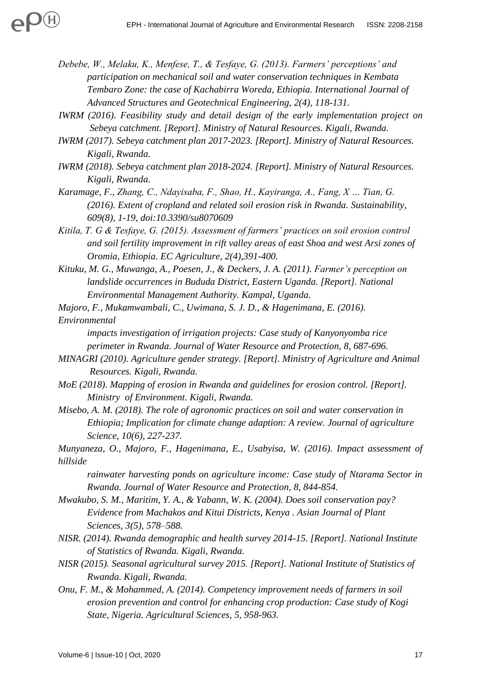- *Debebe, W., Melaku, K., Menfese, T., & Tesfaye, G. (2013). Farmers' perceptions' and participation on mechanical soil and water conservation techniques in Kembata Tembaro Zone: the case of Kachabirra Woreda, Ethiopia. International Journal of Advanced Structures and Geotechnical Engineering, 2(4), 118-131.*
- *IWRM (2016). Feasibility study and detail design of the early implementation project on Sebeya catchment. [Report]. Ministry of Natural Resources. Kigali, Rwanda.*
- *IWRM (2017). Sebeya catchment plan 2017-2023. [Report]. Ministry of Natural Resources. Kigali, Rwanda.*
- *IWRM (2018). Sebeya catchment plan 2018-2024. [Report]. Ministry of Natural Resources. Kigali, Rwanda.*
- *Karamage, F., Zhang, C., Ndayisaba, F., Shao, H., Kayiranga, A., Fang, X … Tian, G. (2016). Extent of cropland and related soil erosion risk in Rwanda. Sustainability, 609(8), 1-19, doi:10.3390/su8070609*
- *Kitila, T. G & Tesfaye, G. (2015). Assessment of farmers' practices on soil erosion control and soil fertility improvement in rift valley areas of east Shoa and west Arsi zones of Oromia, Ethiopia. EC Agriculture, 2(4),391-400.*
- *Kituku, M. G., Muwanga, A., Poesen, J., & Deckers, J. A. (2011). Farmer's perception on landslide occurrences in Bududa District, Eastern Uganda. [Report]. National Environmental Management Authority. Kampal, Uganda.*
- *Majoro, F., Mukamwambali, C., Uwimana, S. J. D., & Hagenimana, E. (2016). Environmental*

*impacts investigation of irrigation projects: Case study of Kanyonyomba rice perimeter in Rwanda. Journal of Water Resource and Protection, 8, 687-696.*

- *MINAGRI (2010). Agriculture gender strategy. [Report]. Ministry of Agriculture and Animal Resources. Kigali, Rwanda.*
- *MoE (2018). Mapping of erosion in Rwanda and guidelines for erosion control. [Report]. Ministry of Environment. Kigali, Rwanda.*
- *Misebo, A. M. (2018). The role of agronomic practices on soil and water conservation in Ethiopia; Implication for climate change adaption: A review. Journal of agriculture Science, 10(6), 227-237.*

*Munyaneza, O., Majoro, F., Hagenimana, E., Usabyisa, W. (2016). Impact assessment of hillside*

*rainwater harvesting ponds on agriculture income: Case study of Ntarama Sector in Rwanda. Journal of Water Resource and Protection, 8, 844-854.*

- *Mwakubo, S. M., Maritim, Y. A., & Yabann, W. K. (2004). Does soil conservation pay? Evidence from Machakos and Kitui Districts, Kenya . Asian Journal of Plant Sciences, 3(5), 578–588.*
- *NISR. (2014). Rwanda demographic and health survey 2014-15. [Report]. National Institute of Statistics of Rwanda. Kigali, Rwanda.*
- *NISR (2015). Seasonal agricultural survey 2015. [Report]. National Institute of Statistics of Rwanda. Kigali, Rwanda.*
- *Onu, F. M., & Mohammed, A. (2014). Competency improvement needs of farmers in soil erosion prevention and control for enhancing crop production: Case study of Kogi State, Nigeria. Agricultural Sciences, 5, 958-963.*